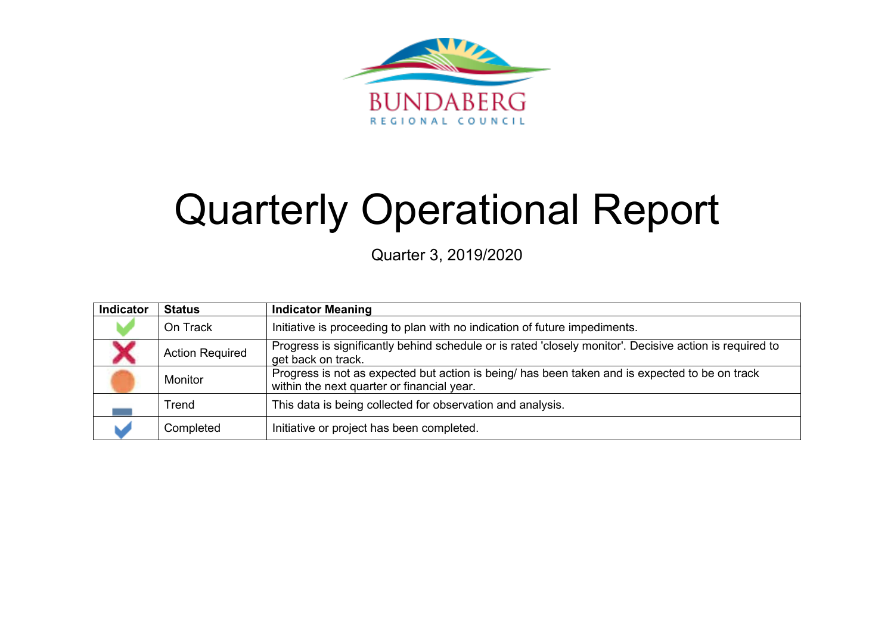

# Quarterly Operational Report

Quarter 3, 2019/2020

| Indicator | <b>Status</b>          | <b>Indicator Meaning</b>                                                                                                                     |
|-----------|------------------------|----------------------------------------------------------------------------------------------------------------------------------------------|
|           | On Track               | Initiative is proceeding to plan with no indication of future impediments.                                                                   |
|           | <b>Action Required</b> | Progress is significantly behind schedule or is rated 'closely monitor'. Decisive action is required to<br>get back on track.                |
|           | Monitor                | Progress is not as expected but action is being/ has been taken and is expected to be on track<br>within the next quarter or financial year. |
|           | Trend                  | This data is being collected for observation and analysis.                                                                                   |
|           | Completed              | Initiative or project has been completed.                                                                                                    |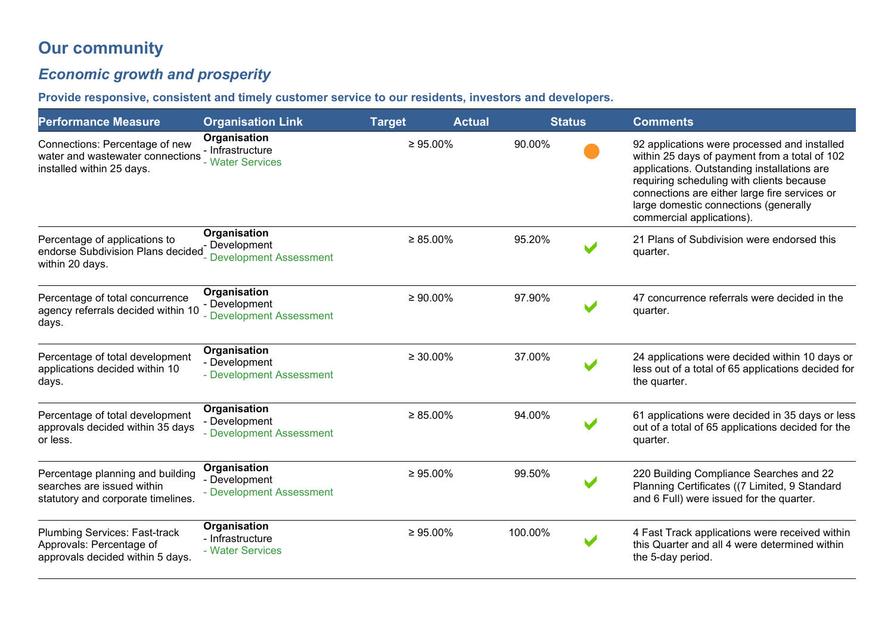# **Our community**

# *Economic growth and prosperity*

**Provide responsive, consistent and timely customer service to our residents, investors and developers.** 

| <b>Performance Measure</b>                                                                           | <b>Organisation Link</b><br><b>Target</b><br><b>Actual</b><br><b>Status</b> |                |         | <b>Comments</b>       |                                                                                                                                                                                                                                                                                                                  |
|------------------------------------------------------------------------------------------------------|-----------------------------------------------------------------------------|----------------|---------|-----------------------|------------------------------------------------------------------------------------------------------------------------------------------------------------------------------------------------------------------------------------------------------------------------------------------------------------------|
| Connections: Percentage of new<br>water and wastewater connections<br>installed within 25 days.      | Organisation<br>- Infrastructure<br>- Water Services                        | $\geq 95.00\%$ | 90.00%  |                       | 92 applications were processed and installed<br>within 25 days of payment from a total of 102<br>applications. Outstanding installations are<br>requiring scheduling with clients because<br>connections are either large fire services or<br>large domestic connections (generally<br>commercial applications). |
| Percentage of applications to<br>endorse Subdivision Plans decided<br>within 20 days.                | Organisation<br>Development<br><b>Development Assessment</b>                | $\geq 85.00\%$ | 95.20%  |                       | 21 Plans of Subdivision were endorsed this<br>quarter.                                                                                                                                                                                                                                                           |
| Percentage of total concurrence<br>agency referrals decided within 10<br>days.                       | Organisation<br>- Development<br>- Development Assessment                   | $\geq 90.00\%$ | 97.90%  |                       | 47 concurrence referrals were decided in the<br>quarter.                                                                                                                                                                                                                                                         |
| Percentage of total development<br>applications decided within 10<br>days.                           | Organisation<br>- Development<br>- Development Assessment                   | $\geq 30.00\%$ | 37.00%  |                       | 24 applications were decided within 10 days or<br>less out of a total of 65 applications decided for<br>the quarter.                                                                                                                                                                                             |
| Percentage of total development<br>approvals decided within 35 days<br>or less.                      | Organisation<br>- Development<br>- Development Assessment                   | $\geq 85.00\%$ | 94.00%  |                       | 61 applications were decided in 35 days or less<br>out of a total of 65 applications decided for the<br>quarter.                                                                                                                                                                                                 |
| Percentage planning and building<br>searches are issued within<br>statutory and corporate timelines. | Organisation<br>- Development<br>- Development Assessment                   | $\geq 95.00\%$ | 99.50%  |                       | 220 Building Compliance Searches and 22<br>Planning Certificates ((7 Limited, 9 Standard<br>and 6 Full) were issued for the quarter.                                                                                                                                                                             |
| <b>Plumbing Services: Fast-track</b><br>Approvals: Percentage of<br>approvals decided within 5 days. | Organisation<br>- Infrastructure<br>- Water Services                        | $\geq 95.00\%$ | 100.00% | $\blacktriangleright$ | 4 Fast Track applications were received within<br>this Quarter and all 4 were determined within<br>the 5-day period.                                                                                                                                                                                             |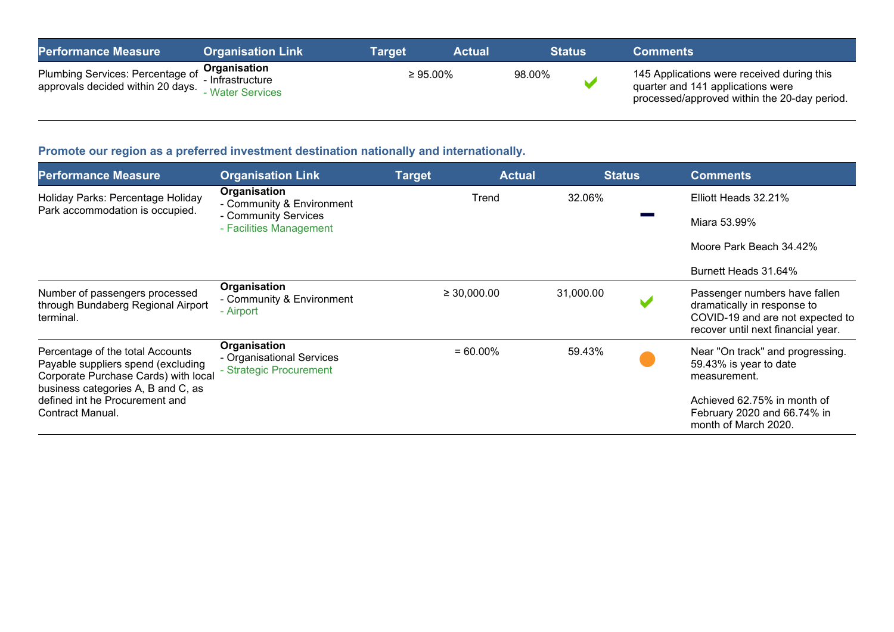| <b>Performance Measure</b>                                                         | <b>Organisation Link</b>                  | Target         | <b>Actual</b> | <b>Status</b> | <b>Comments</b>                                                                                                                 |
|------------------------------------------------------------------------------------|-------------------------------------------|----------------|---------------|---------------|---------------------------------------------------------------------------------------------------------------------------------|
| Plumbing Services: Percentage of Organisation<br>approvals decided within 20 days. | - Infrastructure<br><b>Water Services</b> | $\geq 95.00\%$ |               | 98.00%        | 145 Applications were received during this<br>quarter and 141 applications were<br>processed/approved within the 20-day period. |

# **Promote our region as a preferred investment destination nationally and internationally.**

| <b>Performance Measure</b>                                                                                                                                                             | <b>Organisation Link</b>                                             | <b>Target</b>    | <b>Actual</b> | <b>Status</b> | <b>Comments</b>                                                                                                                        |
|----------------------------------------------------------------------------------------------------------------------------------------------------------------------------------------|----------------------------------------------------------------------|------------------|---------------|---------------|----------------------------------------------------------------------------------------------------------------------------------------|
| Holiday Parks: Percentage Holiday<br>Park accommodation is occupied.                                                                                                                   | Organisation<br>- Community & Environment                            |                  | Trend         | 32.06%        | Elliott Heads 32.21%                                                                                                                   |
|                                                                                                                                                                                        | - Community Services<br>- Facilities Management                      |                  |               |               | Miara 53.99%                                                                                                                           |
|                                                                                                                                                                                        |                                                                      |                  |               |               | Moore Park Beach 34.42%                                                                                                                |
|                                                                                                                                                                                        |                                                                      |                  |               |               | Burnett Heads 31.64%                                                                                                                   |
| Number of passengers processed<br>through Bundaberg Regional Airport<br>terminal.                                                                                                      | Organisation<br>- Community & Environment<br>- Airport               | $\geq 30,000.00$ |               | 31,000.00     | Passenger numbers have fallen<br>dramatically in response to<br>COVID-19 and are not expected to<br>recover until next financial year. |
| Percentage of the total Accounts<br>Payable suppliers spend (excluding<br>Corporate Purchase Cards) with local<br>business categories A, B and C, as<br>defined int he Procurement and | Organisation<br>- Organisational Services<br>- Strategic Procurement |                  | $= 60.00\%$   | 59.43%        | Near "On track" and progressing.<br>59.43% is year to date<br>measurement.<br>Achieved 62.75% in month of                              |
| Contract Manual.                                                                                                                                                                       |                                                                      |                  |               |               | February 2020 and 66.74% in<br>month of March 2020.                                                                                    |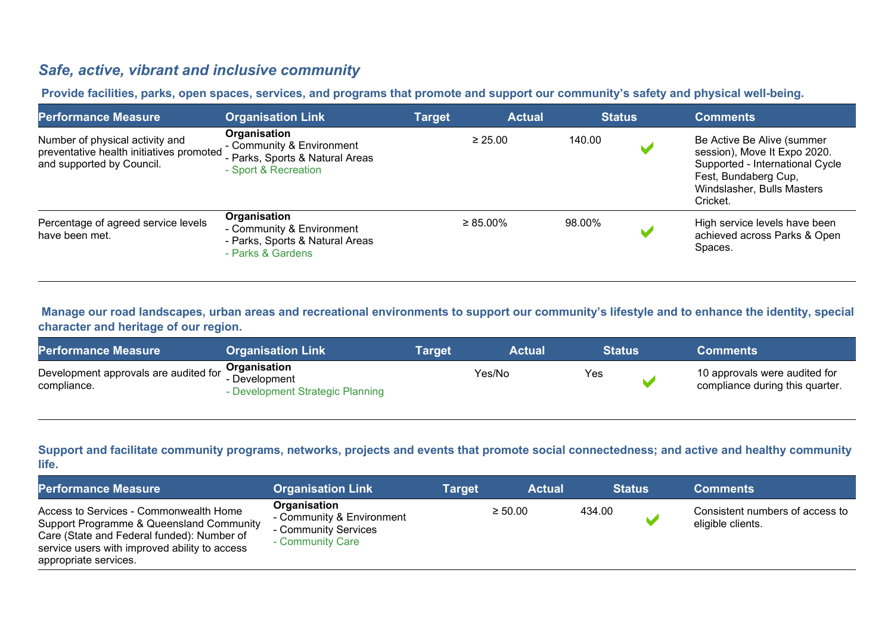## *Safe, active, vibrant and inclusive community*

**Provide facilities, parks, open spaces, services, and programs that promote and support our community's safety and physical well-being.**

| <b>Performance Measure</b>                                                                               | <b>Organisation Link</b>                                                                             | <b>Target</b> | <b>Actual</b>  | <b>Status</b> | <b>Comments</b>                                                                                                                                                 |
|----------------------------------------------------------------------------------------------------------|------------------------------------------------------------------------------------------------------|---------------|----------------|---------------|-----------------------------------------------------------------------------------------------------------------------------------------------------------------|
| Number of physical activity and<br>preventative health initiatives promoted<br>and supported by Council. | Organisation<br>- Community & Environment<br>- Parks, Sports & Natural Areas<br>- Sport & Recreation |               | $\geq 25.00$   | 140.00        | Be Active Be Alive (summer<br>session), Move It Expo 2020.<br>Supported - International Cycle<br>Fest, Bundaberg Cup,<br>Windslasher, Bulls Masters<br>Cricket. |
| Percentage of agreed service levels<br>have been met.                                                    | Organisation<br>- Community & Environment<br>- Parks, Sports & Natural Areas<br>- Parks & Gardens    |               | $\geq 85.00\%$ | 98.00%        | High service levels have been<br>achieved across Parks & Open<br>Spaces.                                                                                        |

**Manage our road landscapes, urban areas and recreational environments to support our community's lifestyle and to enhance the identity, special character and heritage of our region.**

| <b>Performance Measure</b>                           | <b>Organisation Link</b>                                                 | <b>Target</b> | <b>Actual</b> | <b>Status</b> | <b>Comments</b>                                                  |
|------------------------------------------------------|--------------------------------------------------------------------------|---------------|---------------|---------------|------------------------------------------------------------------|
| Development approvals are audited for<br>compliance. | <b>Organisation</b><br>- Development<br>- Development Strategic Planning |               | Yes/No        | Yes           | 10 approvals were audited for<br>compliance during this quarter. |

**Support and facilitate community programs, networks, projects and events that promote social connectedness; and active and healthy community life.**

| <b>Performance Measure</b>                                                                                                                                                                                 | <b>Organisation Link</b>                                                              | <b>Target</b> | <b>Actual</b> | <b>Status</b> | <b>Comments</b>                                      |
|------------------------------------------------------------------------------------------------------------------------------------------------------------------------------------------------------------|---------------------------------------------------------------------------------------|---------------|---------------|---------------|------------------------------------------------------|
| Access to Services - Commonwealth Home<br>Support Programme & Queensland Community<br>Care (State and Federal funded): Number of<br>service users with improved ability to access<br>appropriate services. | Organisation<br>- Community & Environment<br>- Community Services<br>- Community Care |               | $\geq 50.00$  | 434.00        | Consistent numbers of access to<br>eligible clients. |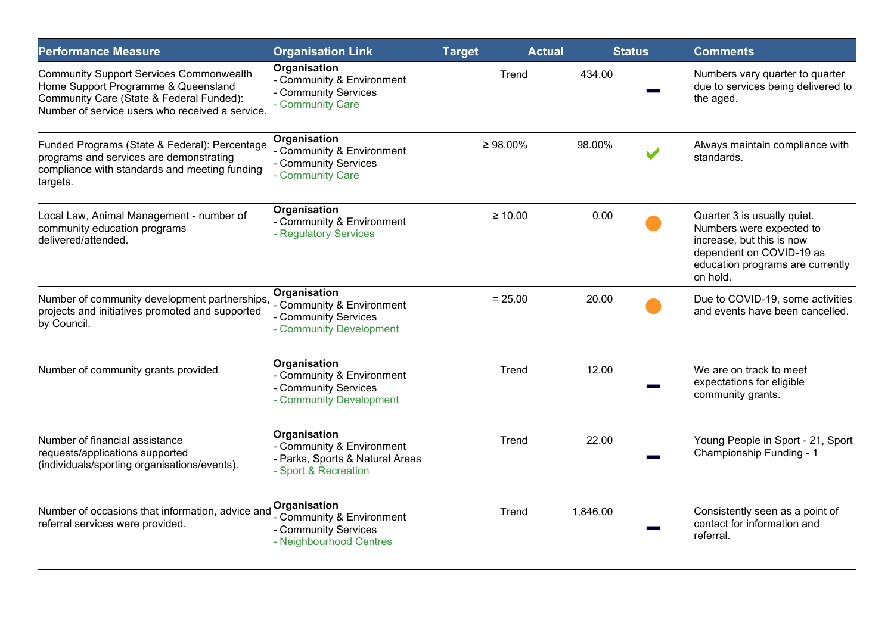| <b>Performance Measure</b>                                                                                                                                                           | <b>Organisation Link</b>                                                                             | <b>Target</b>  | <b>Actual</b> | <b>Status</b> | <b>Comments</b>                                                                                                                                                  |
|--------------------------------------------------------------------------------------------------------------------------------------------------------------------------------------|------------------------------------------------------------------------------------------------------|----------------|---------------|---------------|------------------------------------------------------------------------------------------------------------------------------------------------------------------|
| <b>Community Support Services Commonwealth</b><br>Home Support Programme & Queensland<br>Community Care (State & Federal Funded):<br>Number of service users who received a service. | Organisation<br>- Community & Environment<br>- Community Services<br>- Community Care                | Trend          | 434.00        |               | Numbers vary quarter to quarter<br>due to services being delivered to<br>the aged.                                                                               |
| Funded Programs (State & Federal): Percentage<br>programs and services are demonstrating<br>compliance with standards and meeting funding<br>targets.                                | Organisation<br>- Community & Environment<br>- Community Services<br>- Community Care                | $\geq 98.00\%$ | 98.00%        |               | Always maintain compliance with<br>standards.                                                                                                                    |
| Local Law, Animal Management - number of<br>community education programs<br>delivered/attended.                                                                                      | Organisation<br>- Community & Environment<br>- Regulatory Services                                   | $\geq 10.00$   | 0.00          |               | Quarter 3 is usually quiet.<br>Numbers were expected to<br>increase, but this is now<br>dependent on COVID-19 as<br>education programs are currently<br>on hold. |
| Number of community development partnerships,<br>projects and initiatives promoted and supported<br>by Council.                                                                      | Organisation<br>- Community & Environment<br>- Community Services<br>- Community Development         | $= 25.00$      | 20.00         |               | Due to COVID-19, some activities<br>and events have been cancelled.                                                                                              |
| Number of community grants provided                                                                                                                                                  | Organisation<br>- Community & Environment<br>- Community Services<br>- Community Development         | Trend          | 12.00         |               | We are on track to meet<br>expectations for eligible<br>community grants.                                                                                        |
| Number of financial assistance<br>requests/applications supported<br>(individuals/sporting organisations/events).                                                                    | Organisation<br>- Community & Environment<br>- Parks, Sports & Natural Areas<br>- Sport & Recreation | Trend          | 22.00         |               | Young People in Sport - 21, Sport<br>Championship Funding - 1                                                                                                    |
| Number of occasions that information, advice and<br>referral services were provided.                                                                                                 | <b>Organisation</b><br>- Community & Environment<br>- Community Services<br>- Neighbourhood Centres  | Trend          | 1,846.00      |               | Consistently seen as a point of<br>contact for information and<br>referral.                                                                                      |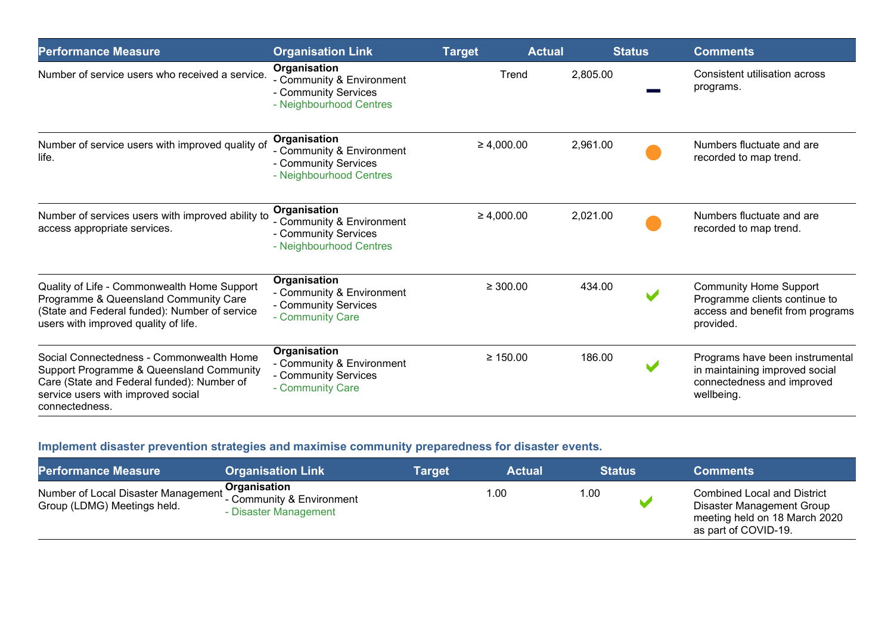| <b>Performance Measure</b>                                                                                                                                                                 | <b>Organisation Link</b>                                                                     | <b>Target</b>   | <b>Actual</b> | <b>Status</b> | <b>Comments</b>                                                                                                 |
|--------------------------------------------------------------------------------------------------------------------------------------------------------------------------------------------|----------------------------------------------------------------------------------------------|-----------------|---------------|---------------|-----------------------------------------------------------------------------------------------------------------|
| Number of service users who received a service.                                                                                                                                            | Organisation<br>- Community & Environment<br>- Community Services<br>- Neighbourhood Centres | Trend           | 2,805.00      |               | Consistent utilisation across<br>programs.                                                                      |
| Number of service users with improved quality of<br>life.                                                                                                                                  | Organisation<br>- Community & Environment<br>- Community Services<br>- Neighbourhood Centres | $\geq 4,000.00$ | 2,961.00      |               | Numbers fluctuate and are<br>recorded to map trend.                                                             |
| Number of services users with improved ability to<br>access appropriate services.                                                                                                          | Organisation<br>- Community & Environment<br>- Community Services<br>- Neighbourhood Centres | $\geq 4,000.00$ | 2,021.00      |               | Numbers fluctuate and are<br>recorded to map trend.                                                             |
| Quality of Life - Commonwealth Home Support<br>Programme & Queensland Community Care<br>(State and Federal funded): Number of service<br>users with improved quality of life.              | Organisation<br>- Community & Environment<br>- Community Services<br>- Community Care        | $\geq 300.00$   | 434.00        |               | <b>Community Home Support</b><br>Programme clients continue to<br>access and benefit from programs<br>provided. |
| Social Connectedness - Commonwealth Home<br>Support Programme & Queensland Community<br>Care (State and Federal funded): Number of<br>service users with improved social<br>connectedness. | Organisation<br>- Community & Environment<br>- Community Services<br>- Community Care        | $\geq 150.00$   | 186.00        |               | Programs have been instrumental<br>in maintaining improved social<br>connectedness and improved<br>wellbeing.   |

## **Implement disaster prevention strategies and maximise community preparedness for disaster events.**

| <b>Performance Measure</b>                                                                 | <b>Organisation Link</b>                     | Target | <b>Actual</b> | <b>Status</b> | <b>Comments</b>                                                                                                          |
|--------------------------------------------------------------------------------------------|----------------------------------------------|--------|---------------|---------------|--------------------------------------------------------------------------------------------------------------------------|
| Number of Local Disaster Management Community & Environment<br>Group (LDMG) Meetings held. | <b>Organisation</b><br>- Disaster Management |        | 1.00          | 1.00          | <b>Combined Local and District</b><br>Disaster Management Group<br>meeting held on 18 March 2020<br>as part of COVID-19. |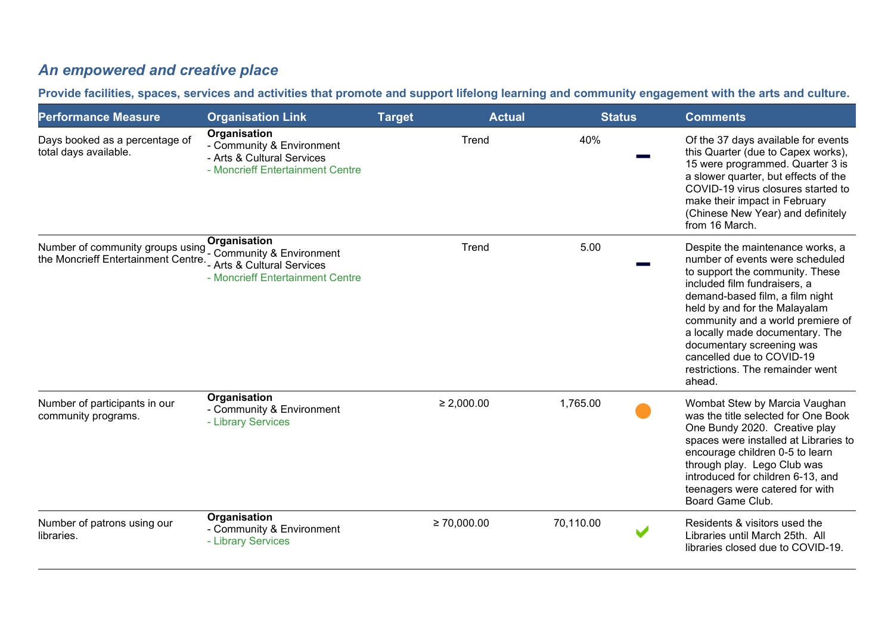# *An empowered and creative place*

**Provide facilities, spaces, services and activities that promote and support lifelong learning and community engagement with the arts and culture.**

| <b>Performance Measure</b>                                                                      | <b>Organisation Link</b>                                                                                    | <b>Target</b>    | <b>Actual</b> | <b>Status</b> | <b>Comments</b>                                                                                                                                                                                                                                                                                                                                                                            |
|-------------------------------------------------------------------------------------------------|-------------------------------------------------------------------------------------------------------------|------------------|---------------|---------------|--------------------------------------------------------------------------------------------------------------------------------------------------------------------------------------------------------------------------------------------------------------------------------------------------------------------------------------------------------------------------------------------|
| Days booked as a percentage of<br>total days available.                                         | Organisation<br>- Community & Environment<br>- Arts & Cultural Services<br>- Moncrieff Entertainment Centre |                  | Trend         | 40%           | Of the 37 days available for events<br>this Quarter (due to Capex works),<br>15 were programmed. Quarter 3 is<br>a slower quarter, but effects of the<br>COVID-19 virus closures started to<br>make their impact in February<br>(Chinese New Year) and definitely<br>from 16 March.                                                                                                        |
| Number of community groups using Community & Environment<br>the Moncrieff Entertainment Centre. | Organisation<br>- Arts & Cultural Services<br>- Moncrieff Entertainment Centre                              |                  | Trend         | 5.00          | Despite the maintenance works, a<br>number of events were scheduled<br>to support the community. These<br>included film fundraisers, a<br>demand-based film, a film night<br>held by and for the Malayalam<br>community and a world premiere of<br>a locally made documentary. The<br>documentary screening was<br>cancelled due to COVID-19<br>restrictions. The remainder went<br>ahead. |
| Number of participants in our<br>community programs.                                            | Organisation<br>- Community & Environment<br>- Library Services                                             | $\geq 2,000.00$  |               | 1,765.00      | Wombat Stew by Marcia Vaughan<br>was the title selected for One Book<br>One Bundy 2020. Creative play<br>spaces were installed at Libraries to<br>encourage children 0-5 to learn<br>through play. Lego Club was<br>introduced for children 6-13, and<br>teenagers were catered for with<br>Board Game Club.                                                                               |
| Number of patrons using our<br>libraries.                                                       | Organisation<br>- Community & Environment<br>- Library Services                                             | $\geq 70,000.00$ |               | 70,110.00     | Residents & visitors used the<br>Libraries until March 25th. All<br>libraries closed due to COVID-19.                                                                                                                                                                                                                                                                                      |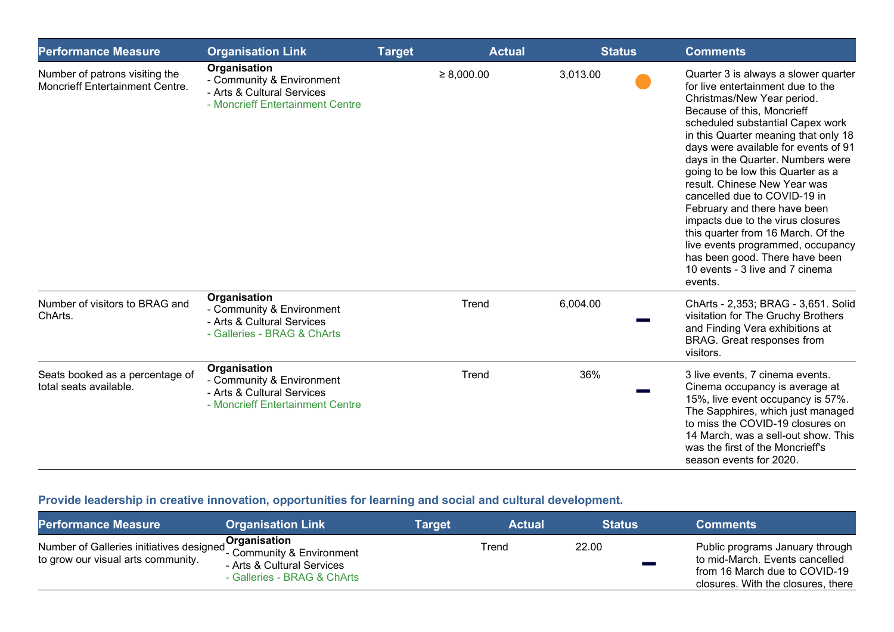| <b>Performance Measure</b>                                        | <b>Organisation Link</b>                                                                                    | <b>Target</b> | <b>Actual</b>   | <b>Status</b> | <b>Comments</b>                                                                                                                                                                                                                                                                                                                                                                                                                                                                                                                                                                                                                     |
|-------------------------------------------------------------------|-------------------------------------------------------------------------------------------------------------|---------------|-----------------|---------------|-------------------------------------------------------------------------------------------------------------------------------------------------------------------------------------------------------------------------------------------------------------------------------------------------------------------------------------------------------------------------------------------------------------------------------------------------------------------------------------------------------------------------------------------------------------------------------------------------------------------------------------|
| Number of patrons visiting the<br>Moncrieff Entertainment Centre. | Organisation<br>- Community & Environment<br>- Arts & Cultural Services<br>- Moncrieff Entertainment Centre |               | $\geq 8,000.00$ | 3,013.00      | Quarter 3 is always a slower quarter<br>for live entertainment due to the<br>Christmas/New Year period.<br>Because of this, Moncrieff<br>scheduled substantial Capex work<br>in this Quarter meaning that only 18<br>days were available for events of 91<br>days in the Quarter. Numbers were<br>going to be low this Quarter as a<br>result. Chinese New Year was<br>cancelled due to COVID-19 in<br>February and there have been<br>impacts due to the virus closures<br>this quarter from 16 March. Of the<br>live events programmed, occupancy<br>has been good. There have been<br>10 events - 3 live and 7 cinema<br>events. |
| Number of visitors to BRAG and<br>ChArts.                         | Organisation<br>- Community & Environment<br>- Arts & Cultural Services<br>- Galleries - BRAG & ChArts      |               | Trend           | 6,004.00      | ChArts - 2,353; BRAG - 3,651. Solid<br>visitation for The Gruchy Brothers<br>and Finding Vera exhibitions at<br>BRAG. Great responses from<br>visitors.                                                                                                                                                                                                                                                                                                                                                                                                                                                                             |
| Seats booked as a percentage of<br>total seats available.         | Organisation<br>- Community & Environment<br>- Arts & Cultural Services<br>- Moncrieff Entertainment Centre |               | Trend           | 36%           | 3 live events, 7 cinema events.<br>Cinema occupancy is average at<br>15%, live event occupancy is 57%.<br>The Sapphires, which just managed<br>to miss the COVID-19 closures on<br>14 March, was a sell-out show. This<br>was the first of the Moncrieff's<br>season events for 2020.                                                                                                                                                                                                                                                                                                                                               |

# **Provide leadership in creative innovation, opportunities for learning and social and cultural development.**

| <b>Performance Measure</b>                                                                                                                                                   | <b>Organisation Link</b>                                  | Target | <b>Actual</b> | <b>Status</b> | <b>Comments</b>                                                                                                                          |
|------------------------------------------------------------------------------------------------------------------------------------------------------------------------------|-----------------------------------------------------------|--------|---------------|---------------|------------------------------------------------------------------------------------------------------------------------------------------|
| Number of Galleries initiatives designed <b>Organisation</b><br>to grow our visual arte community<br>to grow our visual arte community<br>to grow our visual arts community. | - Arts & Cultural Services<br>- Galleries - BRAG & ChArts |        | Trend         | 22.00         | Public programs January through<br>to mid-March. Events cancelled<br>from 16 March due to COVID-19<br>closures. With the closures, there |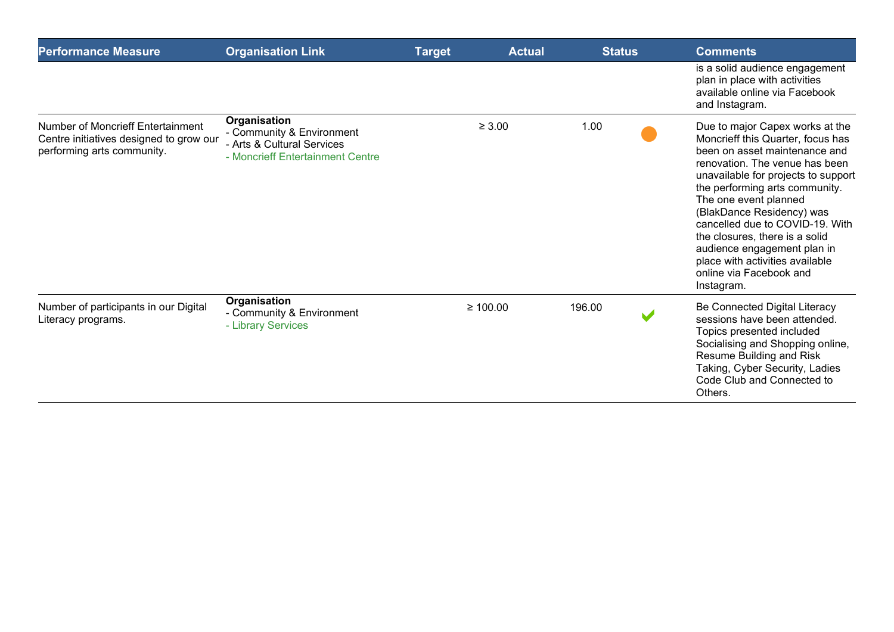| <b>Performance Measure</b>                                                                                 | <b>Organisation Link</b>                                                                                    | <b>Target</b> | <b>Actual</b> | <b>Status</b> | <b>Comments</b>                                                                                                                                                                                                                                                                                                                                                                                                                                        |
|------------------------------------------------------------------------------------------------------------|-------------------------------------------------------------------------------------------------------------|---------------|---------------|---------------|--------------------------------------------------------------------------------------------------------------------------------------------------------------------------------------------------------------------------------------------------------------------------------------------------------------------------------------------------------------------------------------------------------------------------------------------------------|
|                                                                                                            |                                                                                                             |               |               |               | is a solid audience engagement<br>plan in place with activities<br>available online via Facebook<br>and Instagram.                                                                                                                                                                                                                                                                                                                                     |
| Number of Moncrieff Entertainment<br>Centre initiatives designed to grow our<br>performing arts community. | Organisation<br>- Community & Environment<br>- Arts & Cultural Services<br>- Moncrieff Entertainment Centre |               | $\geq 3.00$   | 1.00          | Due to major Capex works at the<br>Moncrieff this Quarter, focus has<br>been on asset maintenance and<br>renovation. The venue has been<br>unavailable for projects to support<br>the performing arts community.<br>The one event planned<br>(BlakDance Residency) was<br>cancelled due to COVID-19. With<br>the closures, there is a solid<br>audience engagement plan in<br>place with activities available<br>online via Facebook and<br>Instagram. |
| Number of participants in our Digital<br>Literacy programs.                                                | Organisation<br>- Community & Environment<br>- Library Services                                             |               | $\geq 100.00$ | 196.00        | Be Connected Digital Literacy<br>sessions have been attended.<br>Topics presented included<br>Socialising and Shopping online,<br>Resume Building and Risk<br>Taking, Cyber Security, Ladies<br>Code Club and Connected to<br>Others.                                                                                                                                                                                                                  |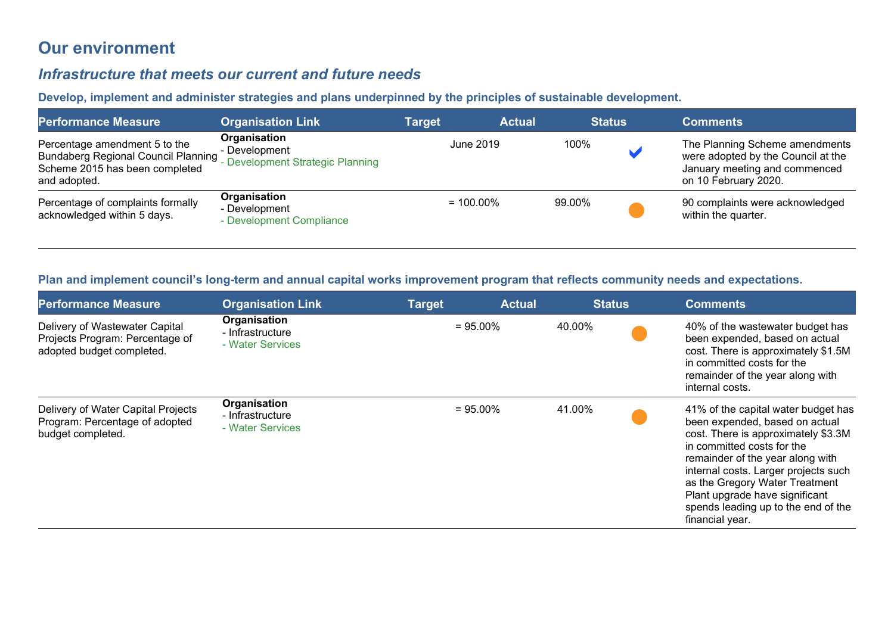# **Our environment**

### *Infrastructure that meets our current and future needs*

**Develop, implement and administer strategies and plans underpinned by the principles of sustainable development.** 

| <b>Performance Measure</b>                                                                                                    | <b>Organisation Link</b>                                          | Target       | <b>Actual</b> | <b>Status</b> | <b>Comments</b>                                                                                                               |
|-------------------------------------------------------------------------------------------------------------------------------|-------------------------------------------------------------------|--------------|---------------|---------------|-------------------------------------------------------------------------------------------------------------------------------|
| Percentage amendment 5 to the<br><b>Bundaberg Regional Council Planning</b><br>Scheme 2015 has been completed<br>and adopted. | Organisation<br>- Development<br>- Development Strategic Planning | June 2019    |               | 100%          | The Planning Scheme amendments<br>were adopted by the Council at the<br>January meeting and commenced<br>on 10 February 2020. |
| Percentage of complaints formally<br>acknowledged within 5 days.                                                              | Organisation<br>- Development<br>- Development Compliance         | $= 100.00\%$ |               | 99.00%        | 90 complaints were acknowledged<br>within the quarter.                                                                        |

#### **Plan and implement council's long-term and annual capital works improvement program that reflects community needs and expectations.**

| <b>Performance Measure</b>                                                                     | <b>Organisation Link</b>                             | <b>Target</b> | <b>Actual</b> | <b>Status</b> | <b>Comments</b>                                                                                                                                                                                                                                                                                                                                      |
|------------------------------------------------------------------------------------------------|------------------------------------------------------|---------------|---------------|---------------|------------------------------------------------------------------------------------------------------------------------------------------------------------------------------------------------------------------------------------------------------------------------------------------------------------------------------------------------------|
| Delivery of Wastewater Capital<br>Projects Program: Percentage of<br>adopted budget completed. | Organisation<br>- Infrastructure<br>- Water Services |               | $= 95.00\%$   | 40.00%        | 40% of the wastewater budget has<br>been expended, based on actual<br>cost. There is approximately \$1.5M<br>in committed costs for the<br>remainder of the year along with<br>internal costs.                                                                                                                                                       |
| Delivery of Water Capital Projects<br>Program: Percentage of adopted<br>budget completed.      | Organisation<br>- Infrastructure<br>- Water Services |               | $= 95.00\%$   | 41.00%        | 41% of the capital water budget has<br>been expended, based on actual<br>cost. There is approximately \$3.3M<br>in committed costs for the<br>remainder of the year along with<br>internal costs. Larger projects such<br>as the Gregory Water Treatment<br>Plant upgrade have significant<br>spends leading up to the end of the<br>financial year. |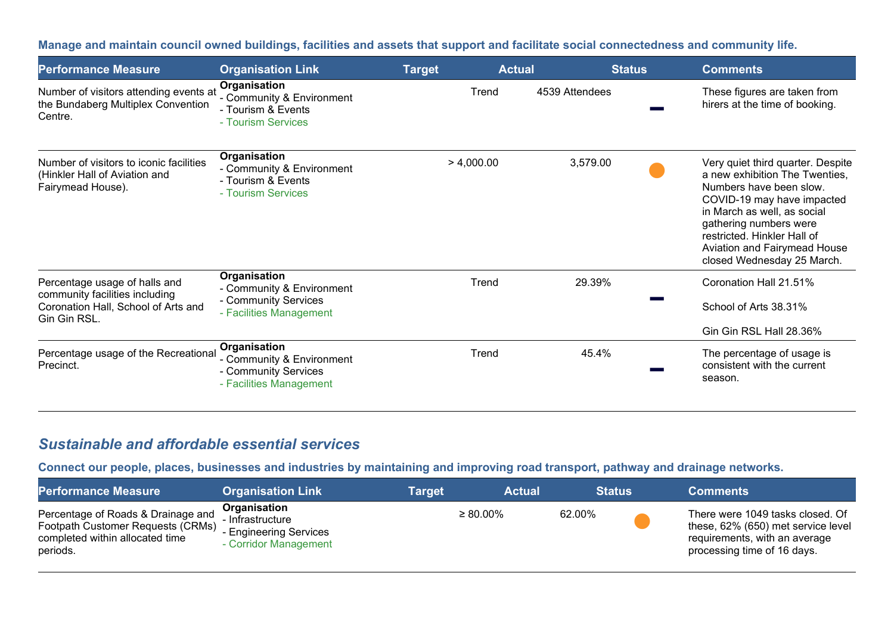**Manage and maintain council owned buildings, facilities and assets that support and facilitate social connectedness and community life.** 

| <b>Performance Measure</b>                                                                                             | <b>Organisation Link</b>                                                                     | <b>Target</b> | <b>Actual</b>  | <b>Status</b> | <b>Comments</b>                                                                                                                                                                                                                                                                    |
|------------------------------------------------------------------------------------------------------------------------|----------------------------------------------------------------------------------------------|---------------|----------------|---------------|------------------------------------------------------------------------------------------------------------------------------------------------------------------------------------------------------------------------------------------------------------------------------------|
| Number of visitors attending events at<br>the Bundaberg Multiplex Convention<br>Centre.                                | Organisation<br>- Community & Environment<br>- Tourism & Events<br>- Tourism Services        | Trend         | 4539 Attendees |               | These figures are taken from<br>hirers at the time of booking.                                                                                                                                                                                                                     |
| Number of visitors to iconic facilities<br>(Hinkler Hall of Aviation and<br>Fairymead House).                          | Organisation<br>- Community & Environment<br>- Tourism & Events<br>- Tourism Services        | > 4,000.00    | 3,579.00       |               | Very quiet third quarter. Despite<br>a new exhibition The Twenties,<br>Numbers have been slow.<br>COVID-19 may have impacted<br>in March as well, as social<br>gathering numbers were<br>restricted. Hinkler Hall of<br>Aviation and Fairymead House<br>closed Wednesday 25 March. |
| Percentage usage of halls and<br>community facilities including<br>Coronation Hall, School of Arts and<br>Gin Gin RSL. | Organisation<br>- Community & Environment<br>- Community Services<br>- Facilities Management | Trend         | 29.39%         |               | Coronation Hall 21.51%<br>School of Arts 38.31%                                                                                                                                                                                                                                    |
|                                                                                                                        |                                                                                              |               |                |               | Gin Gin RSL Hall 28.36%                                                                                                                                                                                                                                                            |
| Percentage usage of the Recreational<br>Precinct.                                                                      | Organisation<br>- Community & Environment<br>- Community Services<br>- Facilities Management | Trend         | 45.4%          |               | The percentage of usage is<br>consistent with the current<br>season.                                                                                                                                                                                                               |

## *Sustainable and affordable essential services*

**Connect our people, places, businesses and industries by maintaining and improving road transport, pathway and drainage networks.** 

| <b>Performance Measure</b>                                                                                             | <b>Organisation Link</b>                                                            | Target | <b>Actual</b>  |        | <b>Status</b> | <b>Comments</b>                                                                                                                        |
|------------------------------------------------------------------------------------------------------------------------|-------------------------------------------------------------------------------------|--------|----------------|--------|---------------|----------------------------------------------------------------------------------------------------------------------------------------|
| Percentage of Roads & Drainage and<br>Footpath Customer Requests (CRMs)<br>completed within allocated time<br>periods. | Organisation<br>- Infrastructure<br>- Engineering Services<br>- Corridor Management |        | $\geq 80.00\%$ | 62.00% |               | There were 1049 tasks closed. Of<br>these, 62% (650) met service level<br>requirements, with an average<br>processing time of 16 days. |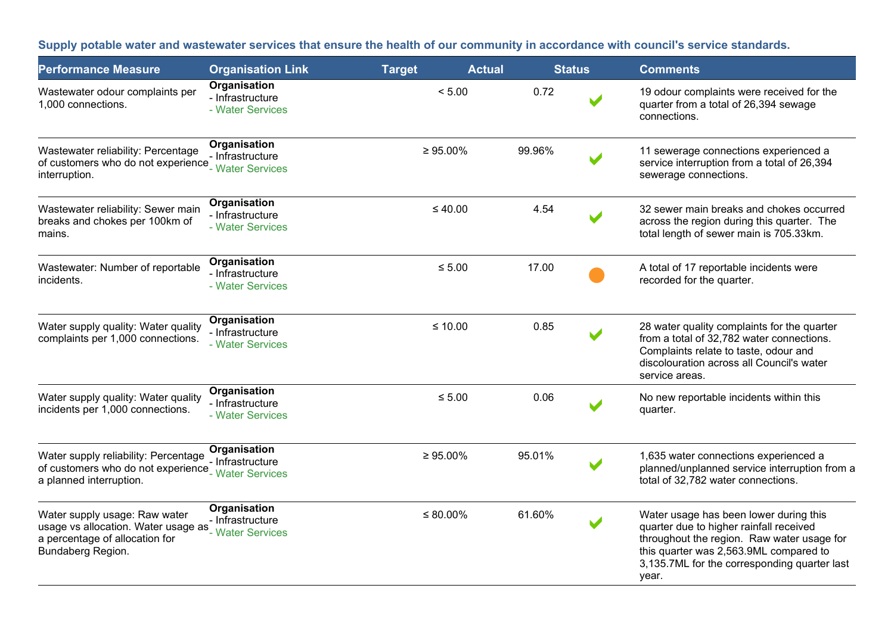**Supply potable water and wastewater services that ensure the health of our community in accordance with council's service standards.**

| <b>Performance Measure</b>                                                                                                  | <b>Organisation Link</b>                                  | <b>Target</b>  | <b>Actual</b> | <b>Status</b> | <b>Comments</b>                                                                                                                                                                                                                    |  |
|-----------------------------------------------------------------------------------------------------------------------------|-----------------------------------------------------------|----------------|---------------|---------------|------------------------------------------------------------------------------------------------------------------------------------------------------------------------------------------------------------------------------------|--|
| Wastewater odour complaints per<br>1,000 connections.                                                                       | Organisation<br>- Infrastructure<br>- Water Services      | < 5.00         | 0.72          |               | 19 odour complaints were received for the<br>quarter from a total of 26,394 sewage<br>connections.                                                                                                                                 |  |
| Wastewater reliability: Percentage<br>of customers who do not experience<br>interruption.                                   | Organisation<br>- Infrastructure<br>- Water Services      | $\geq 95.00\%$ | 99.96%        |               | 11 sewerage connections experienced a<br>service interruption from a total of 26,394<br>sewerage connections.                                                                                                                      |  |
| Wastewater reliability: Sewer main<br>breaks and chokes per 100km of<br>mains.                                              | Organisation<br>- Infrastructure<br>- Water Services      | $\leq 40.00$   | 4.54          |               | 32 sewer main breaks and chokes occurred<br>across the region during this quarter. The<br>total length of sewer main is 705.33km.                                                                                                  |  |
| Wastewater: Number of reportable<br>incidents.                                                                              | Organisation<br>- Infrastructure<br>- Water Services      | $\leq 5.00$    | 17.00         |               | A total of 17 reportable incidents were<br>recorded for the quarter.                                                                                                                                                               |  |
| Water supply quality: Water quality<br>complaints per 1,000 connections.                                                    | Organisation<br>- Infrastructure<br>- Water Services      | $≤ 10.00$      | 0.85          |               | 28 water quality complaints for the quarter<br>from a total of 32,782 water connections.<br>Complaints relate to taste, odour and<br>discolouration across all Council's water<br>service areas.                                   |  |
| Water supply quality: Water quality<br>incidents per 1,000 connections.                                                     | Organisation<br>- Infrastructure<br>- Water Services      | $≤ 5.00$       | 0.06          |               | No new reportable incidents within this<br>quarter.                                                                                                                                                                                |  |
| Water supply reliability: Percentage<br>of customers who do not experience<br>a planned interruption.                       | Organisation<br>- Infrastructure<br>- Water Services      | $\geq 95.00\%$ | 95.01%        |               | 1,635 water connections experienced a<br>planned/unplanned service interruption from a<br>total of 32,782 water connections.                                                                                                       |  |
| Water supply usage: Raw water<br>usage vs allocation. Water usage as<br>a percentage of allocation for<br>Bundaberg Region. | Organisation<br>- Infrastructure<br><b>Water Services</b> | $\leq 80.00\%$ | 61.60%        |               | Water usage has been lower during this<br>quarter due to higher rainfall received<br>throughout the region. Raw water usage for<br>this quarter was 2,563.9ML compared to<br>3,135.7ML for the corresponding quarter last<br>year. |  |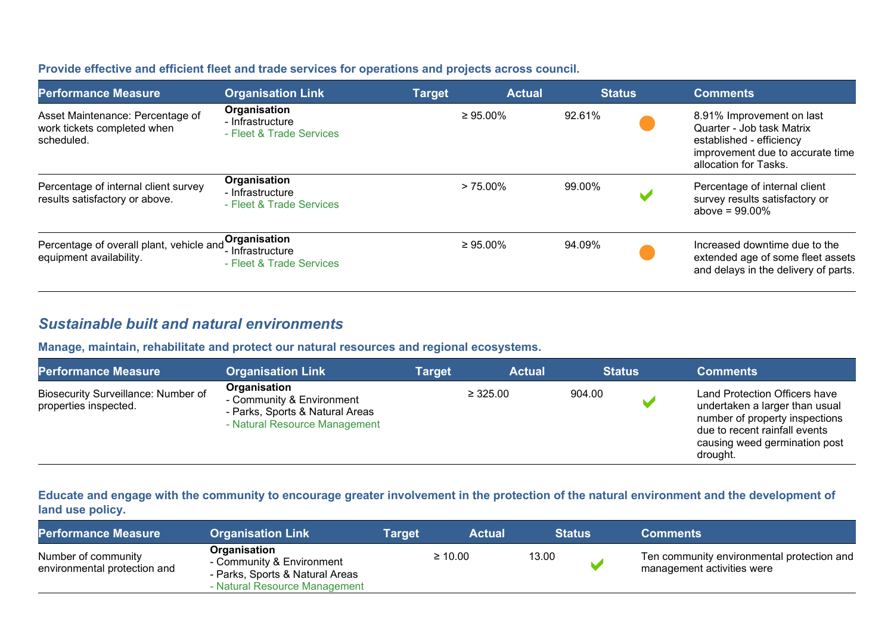| Provide effective and efficient fleet and trade services for operations and projects across council. |  |
|------------------------------------------------------------------------------------------------------|--|
|------------------------------------------------------------------------------------------------------|--|

| <b>Performance Measure</b>                                                    | <b>Organisation Link</b>                                        | <b>Target</b> | <b>Actual</b>  | <b>Status</b> | <b>Comments</b>                                                                                                                                 |
|-------------------------------------------------------------------------------|-----------------------------------------------------------------|---------------|----------------|---------------|-------------------------------------------------------------------------------------------------------------------------------------------------|
| Asset Maintenance: Percentage of<br>work tickets completed when<br>scheduled. | Organisation<br>- Infrastructure<br>- Fleet & Trade Services    |               | $\geq 95.00\%$ | 92.61%        | 8.91% Improvement on last<br>Quarter - Job task Matrix<br>established - efficiency<br>improvement due to accurate time<br>allocation for Tasks. |
| Percentage of internal client survey<br>results satisfactory or above.        | Organisation<br>- Infrastructure<br>- Fleet & Trade Services    |               | $> 75.00\%$    | 99.00%        | Percentage of internal client<br>survey results satisfactory or<br>above = $99.00\%$                                                            |
| Percentage of overall plant, vehicle and<br>equipment availability.           | , Organisation<br>'- Infrastructure<br>- Fleet & Trade Services |               | $\geq 95.00\%$ | 94.09%        | Increased downtime due to the<br>extended age of some fleet assets<br>and delays in the delivery of parts.                                      |

## *Sustainable built and natural environments*

**Manage, maintain, rehabilitate and protect our natural resources and regional ecosystems.**

| <b>Performance Measure</b>                                   | <b>Organisation Link</b>                                                                                      | Target | <b>Actual</b> | <b>Status</b> | <b>Comments</b>                                                                                                                                                                 |
|--------------------------------------------------------------|---------------------------------------------------------------------------------------------------------------|--------|---------------|---------------|---------------------------------------------------------------------------------------------------------------------------------------------------------------------------------|
| Biosecurity Surveillance: Number of<br>properties inspected. | Organisation<br>- Community & Environment<br>- Parks, Sports & Natural Areas<br>- Natural Resource Management |        | $\geq 325.00$ | 904.00        | Land Protection Officers have<br>undertaken a larger than usual<br>number of property inspections<br>due to recent rainfall events<br>causing weed germination post<br>drought. |

**Educate and engage with the community to encourage greater involvement in the protection of the natural environment and the development of land use policy.**

| <b>Performance Measure</b>                          | <b>Organisation Link</b>                                                                                      | Target | <b>Actual</b> | <b>Status</b> | <b>Comments</b>                                                          |
|-----------------------------------------------------|---------------------------------------------------------------------------------------------------------------|--------|---------------|---------------|--------------------------------------------------------------------------|
| Number of community<br>environmental protection and | Organisation<br>- Community & Environment<br>- Parks, Sports & Natural Areas<br>- Natural Resource Management |        | $\geq 10.00$  | 13.00         | Ten community environmental protection and<br>management activities were |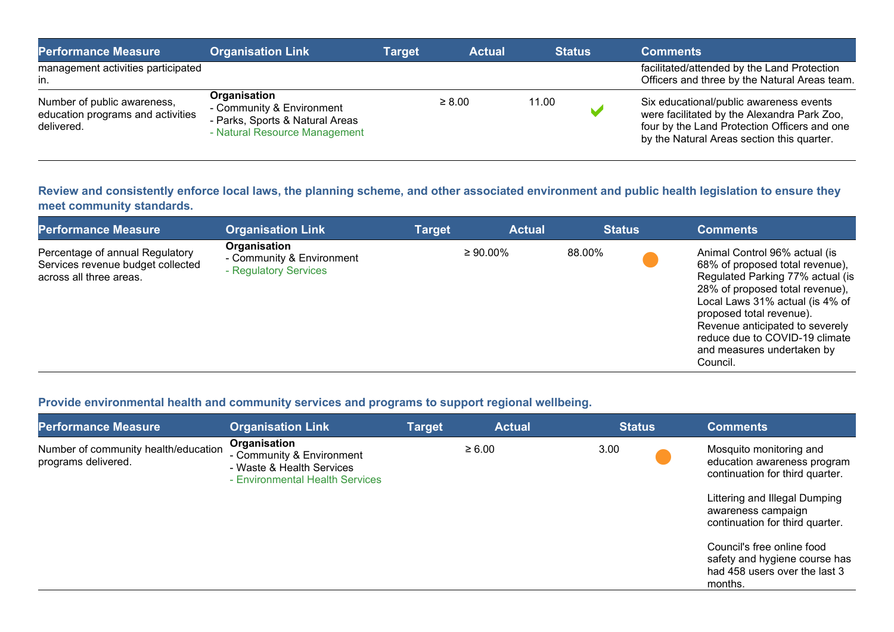| <b>Performance Measure</b>                                                     | <b>Organisation Link</b>                                                                                      | Target | <b>Actual</b> | <b>Status</b> | <b>Comments</b>                                                                                                                                                                      |
|--------------------------------------------------------------------------------|---------------------------------------------------------------------------------------------------------------|--------|---------------|---------------|--------------------------------------------------------------------------------------------------------------------------------------------------------------------------------------|
| management activities participated<br>in.                                      |                                                                                                               |        |               |               | facilitated/attended by the Land Protection<br>Officers and three by the Natural Areas team.                                                                                         |
| Number of public awareness,<br>education programs and activities<br>delivered. | Organisation<br>- Community & Environment<br>- Parks, Sports & Natural Areas<br>- Natural Resource Management |        | $\geq 8.00$   | 11.00         | Six educational/public awareness events<br>were facilitated by the Alexandra Park Zoo,<br>four by the Land Protection Officers and one<br>by the Natural Areas section this quarter. |

**Review and consistently enforce local laws, the planning scheme, and other associated environment and public health legislation to ensure they meet community standards.**

| <b>Performance Measure</b>                                                                      | <b>Organisation Link</b>                                           | <b>Target</b> | <b>Actual</b>  | <b>Status</b> | <b>Comments</b>                                                                                                                                                                                                                                                                                                       |
|-------------------------------------------------------------------------------------------------|--------------------------------------------------------------------|---------------|----------------|---------------|-----------------------------------------------------------------------------------------------------------------------------------------------------------------------------------------------------------------------------------------------------------------------------------------------------------------------|
| Percentage of annual Regulatory<br>Services revenue budget collected<br>across all three areas. | Organisation<br>- Community & Environment<br>- Regulatory Services |               | $\geq 90.00\%$ | 88.00%        | Animal Control 96% actual (is<br>68% of proposed total revenue),<br>Regulated Parking 77% actual (is<br>28% of proposed total revenue),<br>Local Laws 31% actual (is 4% of<br>proposed total revenue).<br>Revenue anticipated to severely<br>reduce due to COVID-19 climate<br>and measures undertaken by<br>Council. |

#### **Provide environmental health and community services and programs to support regional wellbeing.**

| <b>Performance Measure</b>                                  | <b>Organisation Link</b>                                                                                  | <b>Target</b> | <b>Actual</b> | <b>Status</b> | <b>Comments</b>                                                                                         |
|-------------------------------------------------------------|-----------------------------------------------------------------------------------------------------------|---------------|---------------|---------------|---------------------------------------------------------------------------------------------------------|
| Number of community health/education<br>programs delivered. | Organisation<br>- Community & Environment<br>- Waste & Health Services<br>- Environmental Health Services |               | $\geq 6.00$   | 3.00          | Mosquito monitoring and<br>education awareness program<br>continuation for third quarter.               |
|                                                             |                                                                                                           |               |               |               | Littering and Illegal Dumping<br>awareness campaign<br>continuation for third quarter.                  |
|                                                             |                                                                                                           |               |               |               | Council's free online food<br>safety and hygiene course has<br>had 458 users over the last 3<br>months. |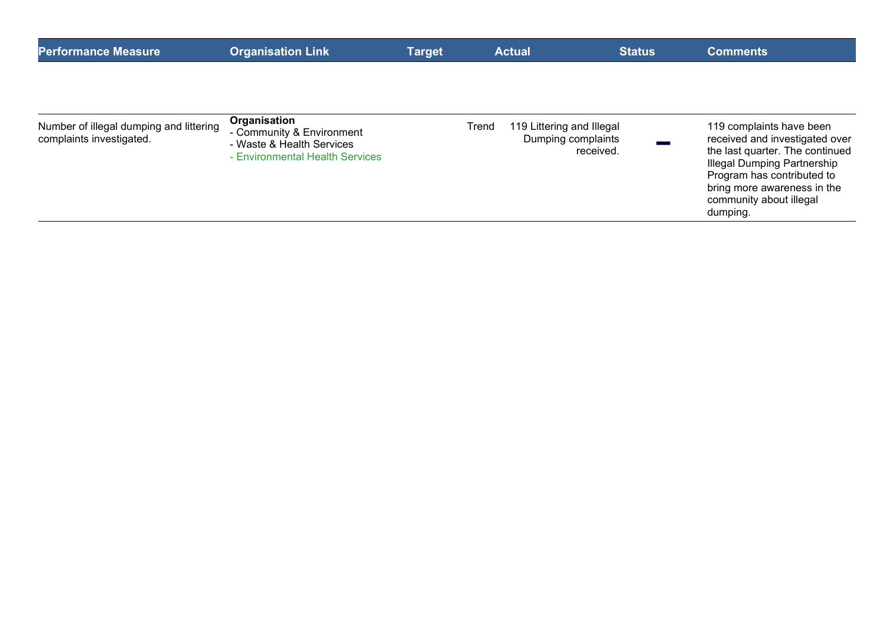| <b>Performance Measure</b>                                          | <b>Organisation Link</b>                                                                                  | <b>Target</b> | <b>Actual</b> | <b>Status</b>                                                | <b>Comments</b>                                                                                                                                                                                                                  |
|---------------------------------------------------------------------|-----------------------------------------------------------------------------------------------------------|---------------|---------------|--------------------------------------------------------------|----------------------------------------------------------------------------------------------------------------------------------------------------------------------------------------------------------------------------------|
| Number of illegal dumping and littering<br>complaints investigated. | Organisation<br>- Community & Environment<br>- Waste & Health Services<br>- Environmental Health Services |               | Trend         | 119 Littering and Illegal<br>Dumping complaints<br>received. | 119 complaints have been<br>received and investigated over<br>the last quarter. The continued<br>Illegal Dumping Partnership<br>Program has contributed to<br>bring more awareness in the<br>community about illegal<br>dumping. |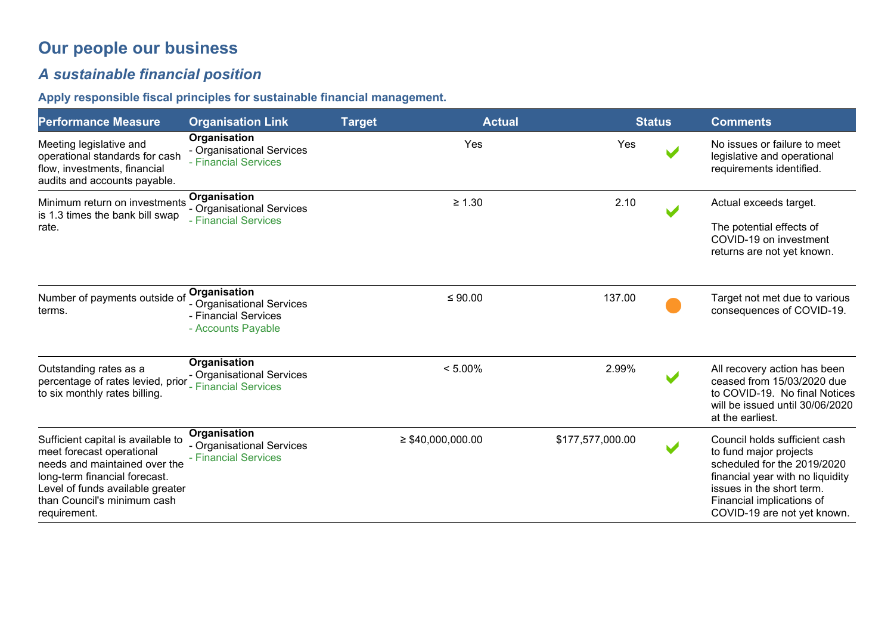# **Our people our business**

# *A sustainable financial position*

## **Apply responsible fiscal principles for sustainable financial management.**

| <b>Performance Measure</b>                                                                                                                                                                                           | <b>Organisation Link</b>                                                                | <b>Target</b> | <b>Actual</b>          | <b>Status</b>    | <b>Comments</b>                                                                                                                                                                                                     |
|----------------------------------------------------------------------------------------------------------------------------------------------------------------------------------------------------------------------|-----------------------------------------------------------------------------------------|---------------|------------------------|------------------|---------------------------------------------------------------------------------------------------------------------------------------------------------------------------------------------------------------------|
| Meeting legislative and<br>operational standards for cash<br>flow, investments, financial<br>audits and accounts payable.                                                                                            | Organisation<br>- Organisational Services<br>- Financial Services                       |               | Yes                    | Yes              | No issues or failure to meet<br>legislative and operational<br>requirements identified.                                                                                                                             |
| Minimum return on investments<br>is 1.3 times the bank bill swap<br>rate.                                                                                                                                            | Organisation<br>- Organisational Services<br>- Financial Services                       |               | $\geq 1.30$            | 2.10             | Actual exceeds target.<br>The potential effects of<br>COVID-19 on investment<br>returns are not yet known.                                                                                                          |
| Number of payments outside of<br>terms.                                                                                                                                                                              | Organisation<br>- Organisational Services<br>- Financial Services<br>- Accounts Payable |               | ≤ 90.00                | 137.00           | Target not met due to various<br>consequences of COVID-19.                                                                                                                                                          |
| Outstanding rates as a<br>percentage of rates levied, prior<br>to six monthly rates billing.                                                                                                                         | Organisation<br>- Organisational Services<br>- Financial Services                       |               | $< 5.00\%$             | 2.99%            | All recovery action has been<br>ceased from 15/03/2020 due<br>to COVID-19. No final Notices<br>will be issued until 30/06/2020<br>at the earliest.                                                                  |
| Sufficient capital is available to<br>meet forecast operational<br>needs and maintained over the<br>long-term financial forecast.<br>Level of funds available greater<br>than Council's minimum cash<br>requirement. | Organisation<br>- Organisational Services<br>- Financial Services                       |               | $\geq$ \$40,000,000.00 | \$177,577,000.00 | Council holds sufficient cash<br>to fund major projects<br>scheduled for the 2019/2020<br>financial year with no liquidity<br>issues in the short term.<br>Financial implications of<br>COVID-19 are not yet known. |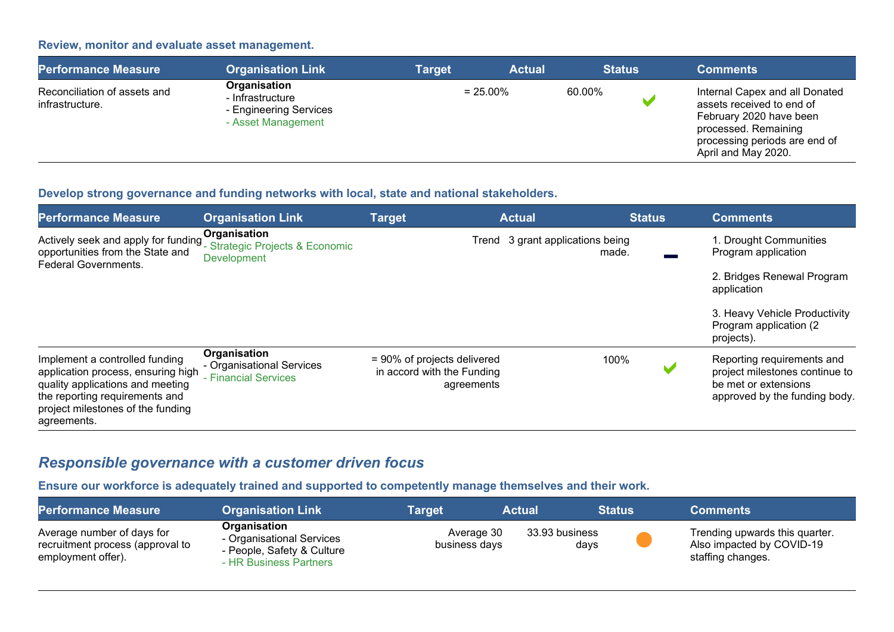#### **Review, monitor and evaluate asset management.**

| <b>Performance Measure</b>                      | <b>Organisation Link</b>                                                         | Target | <b>Actual</b> |        | <b>Status</b> | <b>Comments</b>                                                                                                                                                        |
|-------------------------------------------------|----------------------------------------------------------------------------------|--------|---------------|--------|---------------|------------------------------------------------------------------------------------------------------------------------------------------------------------------------|
| Reconciliation of assets and<br>infrastructure. | Organisation<br>- Infrastructure<br>- Engineering Services<br>- Asset Management |        | $= 25.00\%$   | 60.00% | N.            | Internal Capex and all Donated<br>assets received to end of<br>February 2020 have been<br>processed. Remaining<br>processing periods are end of<br>April and May 2020. |

#### **Develop strong governance and funding networks with local, state and national stakeholders.**

| <b>Performance Measure</b>                                                                                                                                                                     | <b>Organisation Link</b>                                              | <b>Target</b>                                                              | <b>Actual</b>                             | <b>Status</b> | <b>Comments</b>                                                                                                       |
|------------------------------------------------------------------------------------------------------------------------------------------------------------------------------------------------|-----------------------------------------------------------------------|----------------------------------------------------------------------------|-------------------------------------------|---------------|-----------------------------------------------------------------------------------------------------------------------|
| Actively seek and apply for funding<br>opportunities from the State and<br><b>Federal Governments.</b>                                                                                         | Organisation<br>- Strategic Projects & Economic<br><b>Development</b> |                                                                            | Trend 3 grant applications being<br>made. |               | 1. Drought Communities<br>Program application                                                                         |
|                                                                                                                                                                                                |                                                                       |                                                                            |                                           |               | 2. Bridges Renewal Program<br>application                                                                             |
|                                                                                                                                                                                                |                                                                       |                                                                            |                                           |               | 3. Heavy Vehicle Productivity<br>Program application (2)<br>projects).                                                |
| Implement a controlled funding<br>application process, ensuring high<br>quality applications and meeting<br>the reporting requirements and<br>project milestones of the funding<br>agreements. | Organisation<br>- Organisational Services<br>- Financial Services     | $= 90\%$ of projects delivered<br>in accord with the Funding<br>agreements | 100%                                      |               | Reporting requirements and<br>project milestones continue to<br>be met or extensions<br>approved by the funding body. |

# *Responsible governance with a customer driven focus*

**Ensure our workforce is adequately trained and supported to competently manage themselves and their work.**

| <b>Performance Measure</b>                                                           | <b>Organisation Link</b>                                                                          | Target                      | Actual                 | <b>Status</b> | <b>Comments</b>                                                                  |
|--------------------------------------------------------------------------------------|---------------------------------------------------------------------------------------------------|-----------------------------|------------------------|---------------|----------------------------------------------------------------------------------|
| Average number of days for<br>recruitment process (approval to<br>employment offer). | Organisation<br>- Organisational Services<br>- People, Safety & Culture<br>- HR Business Partners | Average 30<br>business days | 33.93 business<br>days |               | Trending upwards this quarter.<br>Also impacted by COVID-19<br>staffing changes. |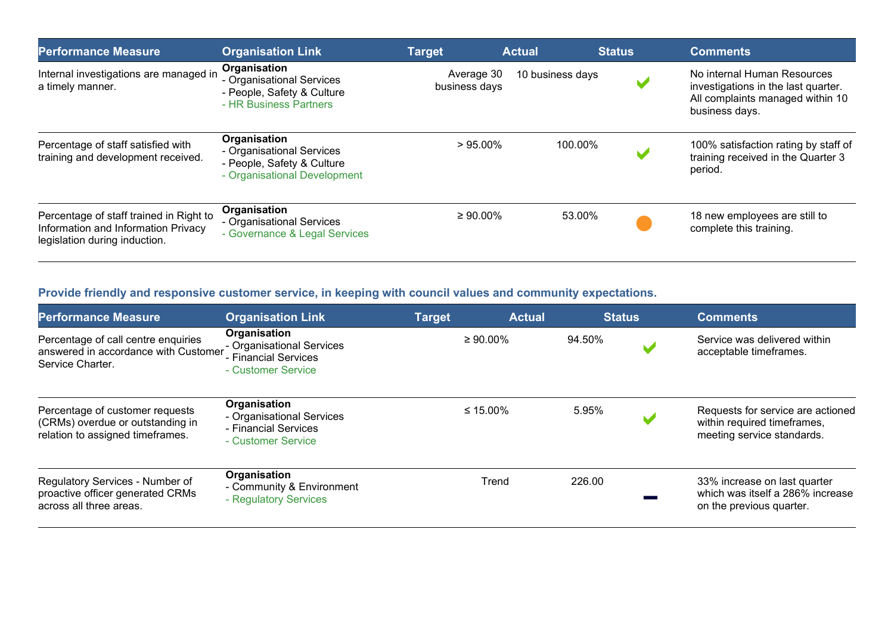| <b>Performance Measure</b>                                                                                      | <b>Organisation Link</b>                                                                                | <b>Target</b>               | <b>Actual</b>    | <b>Status</b> | <b>Comments</b>                                                                                                          |
|-----------------------------------------------------------------------------------------------------------------|---------------------------------------------------------------------------------------------------------|-----------------------------|------------------|---------------|--------------------------------------------------------------------------------------------------------------------------|
| Internal investigations are managed in<br>a timely manner.                                                      | Organisation<br>- Organisational Services<br>- People, Safety & Culture<br>- HR Business Partners       | Average 30<br>business days | 10 business days |               | No internal Human Resources<br>investigations in the last quarter.<br>All complaints managed within 10<br>business days. |
| Percentage of staff satisfied with<br>training and development received.                                        | Organisation<br>- Organisational Services<br>- People, Safety & Culture<br>- Organisational Development | $>95.00\%$                  | 100.00%          |               | 100% satisfaction rating by staff of<br>training received in the Quarter 3<br>period.                                    |
| Percentage of staff trained in Right to<br>Information and Information Privacy<br>legislation during induction. | Organisation<br>- Organisational Services<br>- Governance & Legal Services                              | $\geq 90.00\%$              | 53.00%           |               | 18 new employees are still to<br>complete this training.                                                                 |

## **Provide friendly and responsive customer service, in keeping with council values and community expectations.**

| <b>Performance Measure</b>                                                                              | <b>Organisation Link</b>                                                                | <b>Target</b> | <b>Actual</b>  | <b>Status</b> | <b>Comments</b>                                                                                |
|---------------------------------------------------------------------------------------------------------|-----------------------------------------------------------------------------------------|---------------|----------------|---------------|------------------------------------------------------------------------------------------------|
| Percentage of call centre enquiries<br>answered in accordance with Customer<br>Service Charter.         | Organisation<br>- Organisational Services<br>- Financial Services<br>- Customer Service |               | $\geq 90.00\%$ | 94.50%        | Service was delivered within<br>acceptable timeframes.                                         |
| Percentage of customer requests<br>(CRMs) overdue or outstanding in<br>relation to assigned timeframes. | Organisation<br>- Organisational Services<br>- Financial Services<br>- Customer Service |               | ≤ 15.00%       | 5.95%         | Requests for service are actioned<br>within required timeframes,<br>meeting service standards. |
| Regulatory Services - Number of<br>proactive officer generated CRMs<br>across all three areas.          | Organisation<br>- Community & Environment<br>- Regulatory Services                      |               | Trend          | 226.00        | 33% increase on last quarter<br>which was itself a 286% increase<br>on the previous quarter.   |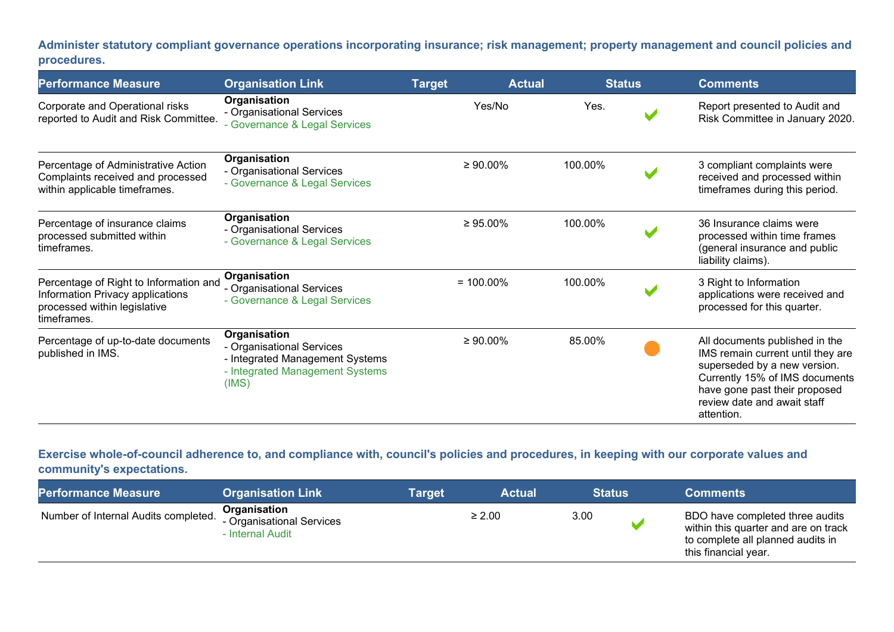**Administer statutory compliant governance operations incorporating insurance; risk management; property management and council policies and procedures.**

| <b>Performance Measure</b>                                                                                                | <b>Organisation Link</b>                                                                                                 | <b>Target</b>  | <b>Actual</b> | <b>Status</b> | <b>Comments</b>                                                                                                                                                                                                     |
|---------------------------------------------------------------------------------------------------------------------------|--------------------------------------------------------------------------------------------------------------------------|----------------|---------------|---------------|---------------------------------------------------------------------------------------------------------------------------------------------------------------------------------------------------------------------|
| Corporate and Operational risks<br>reported to Audit and Risk Committee.                                                  | Organisation<br>- Organisational Services<br>- Governance & Legal Services                                               |                | Yes/No        | Yes.          | Report presented to Audit and<br>Risk Committee in January 2020.                                                                                                                                                    |
| Percentage of Administrative Action<br>Complaints received and processed<br>within applicable timeframes.                 | Organisation<br>- Organisational Services<br>- Governance & Legal Services                                               | $\geq 90.00\%$ |               | 100.00%       | 3 compliant complaints were<br>received and processed within<br>timeframes during this period.                                                                                                                      |
| Percentage of insurance claims<br>processed submitted within<br>timeframes.                                               | Organisation<br>- Organisational Services<br>- Governance & Legal Services                                               | $\geq 95.00\%$ |               | 100.00%       | 36 Insurance claims were<br>processed within time frames<br>(general insurance and public<br>liability claims).                                                                                                     |
| Percentage of Right to Information and<br>Information Privacy applications<br>processed within legislative<br>timeframes. | Organisation<br>- Organisational Services<br>- Governance & Legal Services                                               | $= 100.00\%$   |               | 100.00%       | 3 Right to Information<br>applications were received and<br>processed for this quarter.                                                                                                                             |
| Percentage of up-to-date documents<br>published in IMS.                                                                   | Organisation<br>- Organisational Services<br>- Integrated Management Systems<br>- Integrated Management Systems<br>(IMS) | $\geq 90.00\%$ |               | 85.00%        | All documents published in the<br>IMS remain current until they are<br>superseded by a new version.<br>Currently 15% of IMS documents<br>have gone past their proposed<br>review date and await staff<br>attention. |

#### **Exercise whole-of-council adherence to, and compliance with, council's policies and procedures, in keeping with our corporate values and community's expectations.**

| <b>Performance Measure</b>           | <b>Organisation Link</b>                                      | <b>Target</b> | <b>Actual</b> | <b>Status</b> | <b>Comments</b>                                                                                                                      |
|--------------------------------------|---------------------------------------------------------------|---------------|---------------|---------------|--------------------------------------------------------------------------------------------------------------------------------------|
| Number of Internal Audits completed. | Organisation<br>- Organisational Services<br>- Internal Audit |               | $\geq 2.00$   | 3.00          | BDO have completed three audits<br>within this quarter and are on track<br>to complete all planned audits in<br>this financial year. |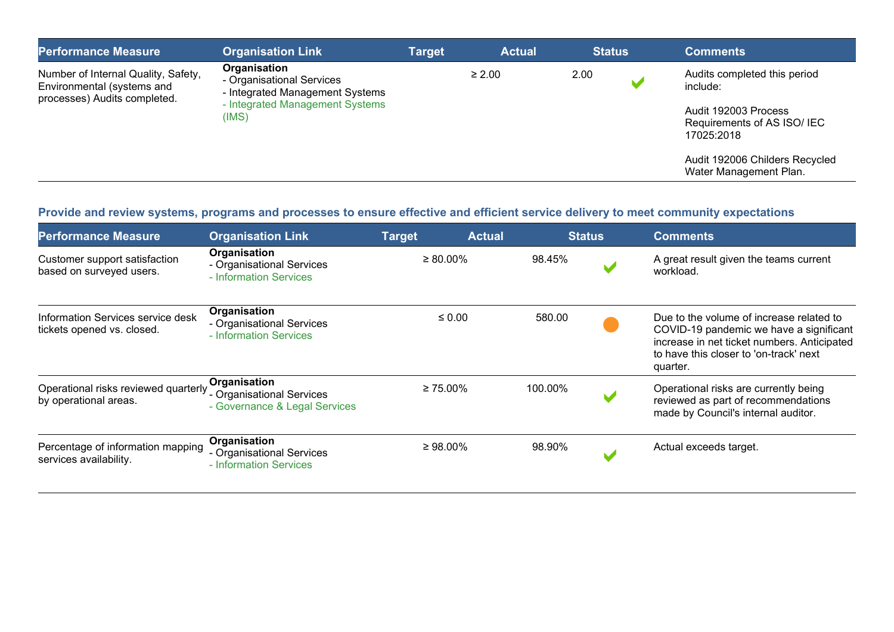| <b>Performance Measure</b>                                                                        | <b>Organisation Link</b>                                                                                                 | <b>Target</b> | <b>Actual</b> | <b>Status</b> |   | <b>Comments</b>                                                                                               |
|---------------------------------------------------------------------------------------------------|--------------------------------------------------------------------------------------------------------------------------|---------------|---------------|---------------|---|---------------------------------------------------------------------------------------------------------------|
| Number of Internal Quality, Safety,<br>Environmental (systems and<br>processes) Audits completed. | Organisation<br>- Organisational Services<br>- Integrated Management Systems<br>- Integrated Management Systems<br>(IMS) |               | $\geq 2.00$   | 2.00          | м | Audits completed this period<br>include:<br>Audit 192003 Process<br>Requirements of AS ISO/ IEC<br>17025:2018 |
|                                                                                                   |                                                                                                                          |               |               |               |   | Audit 192006 Childers Recycled<br>Water Management Plan.                                                      |

#### **Provide and review systems, programs and processes to ensure effective and efficient service delivery to meet community expectations**

| <b>Performance Measure</b>                                      | <b>Organisation Link</b>                                                   | <b>Target</b>  | <b>Actual</b> | <b>Status</b> | <b>Comments</b>                                                                                                                                                                          |
|-----------------------------------------------------------------|----------------------------------------------------------------------------|----------------|---------------|---------------|------------------------------------------------------------------------------------------------------------------------------------------------------------------------------------------|
| Customer support satisfaction<br>based on surveyed users.       | Organisation<br>- Organisational Services<br>- Information Services        | $\geq 80.00\%$ | 98.45%        |               | A great result given the teams current<br>workload.                                                                                                                                      |
| Information Services service desk<br>tickets opened vs. closed. | Organisation<br>- Organisational Services<br>- Information Services        | $\leq 0.00$    | 580.00        |               | Due to the volume of increase related to<br>COVID-19 pandemic we have a significant<br>increase in net ticket numbers. Anticipated<br>to have this closer to 'on-track' next<br>quarter. |
| Operational risks reviewed quarterly<br>by operational areas.   | Organisation<br>- Organisational Services<br>- Governance & Legal Services | $\geq 75.00\%$ | 100.00%       |               | Operational risks are currently being<br>reviewed as part of recommendations<br>made by Council's internal auditor.                                                                      |
| Percentage of information mapping<br>services availability.     | Organisation<br>- Organisational Services<br>- Information Services        | $\geq 98.00\%$ | 98.90%        |               | Actual exceeds target.                                                                                                                                                                   |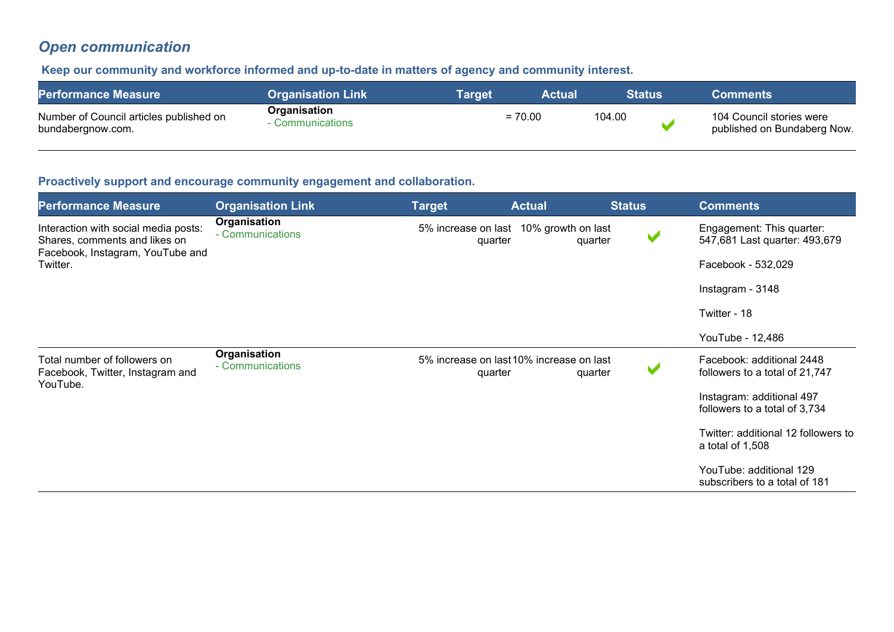# *Open communication*

#### **Keep our community and workforce informed and up-to-date in matters of agency and community interest.**

| <b>Performance Measure</b>                                   | <b>Organisation Link</b>         | <b>Target</b> | Actual |        | <b>Status</b> \ | Comments                                                |
|--------------------------------------------------------------|----------------------------------|---------------|--------|--------|-----------------|---------------------------------------------------------|
| Number of Council articles published on<br>bundabergnow.com. | Organisation<br>Communications . | $= 70.00$     |        | 104.00 |                 | 104 Council stories were<br>published on Bundaberg Now. |

#### **Proactively support and encourage community engagement and collaboration.**

| <b>Performance Measure</b>                                                                                | <b>Organisation Link</b>         | <b>Target</b> | <b>Actual</b>                                       | <b>Status</b> |                      | <b>Comments</b>                                             |
|-----------------------------------------------------------------------------------------------------------|----------------------------------|---------------|-----------------------------------------------------|---------------|----------------------|-------------------------------------------------------------|
| Interaction with social media posts:<br>Shares, comments and likes on<br>Facebook, Instagram, YouTube and | Organisation<br>- Communications |               | 5% increase on last 10% growth on last<br>quarter   | quarter       | V                    | Engagement: This quarter:<br>547,681 Last quarter: 493,679  |
| Twitter.                                                                                                  |                                  |               |                                                     |               |                      | Facebook - 532,029                                          |
|                                                                                                           |                                  |               |                                                     |               |                      | Instagram - 3148                                            |
|                                                                                                           |                                  |               |                                                     |               |                      | Twitter - 18                                                |
|                                                                                                           |                                  |               |                                                     |               |                      | YouTube - 12,486                                            |
| Total number of followers on<br>Facebook, Twitter, Instagram and<br>YouTube.                              | Organisation<br>- Communications |               | 5% increase on last 10% increase on last<br>quarter | quarter       | $\blacktriangledown$ | Facebook: additional 2448<br>followers to a total of 21,747 |
|                                                                                                           |                                  |               |                                                     |               |                      | Instagram: additional 497<br>followers to a total of 3,734  |
|                                                                                                           |                                  |               |                                                     |               |                      | Twitter: additional 12 followers to<br>a total of 1,508     |
|                                                                                                           |                                  |               |                                                     |               |                      | YouTube: additional 129<br>subscribers to a total of 181    |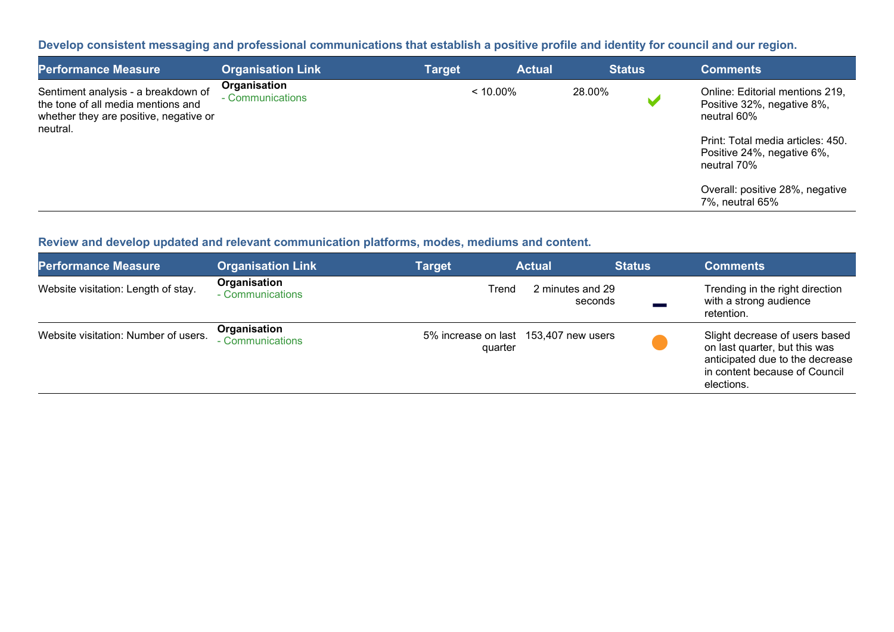**Develop consistent messaging and professional communications that establish a positive profile and identity for council and our region.**

| <b>Performance Measure</b>                                                                                                      | <b>Organisation Link</b>         | <b>Target</b> |             | <b>Actual</b> | <b>Status</b> |   | <b>Comments</b>                                                                                                                                                                                   |
|---------------------------------------------------------------------------------------------------------------------------------|----------------------------------|---------------|-------------|---------------|---------------|---|---------------------------------------------------------------------------------------------------------------------------------------------------------------------------------------------------|
| Sentiment analysis - a breakdown of<br>the tone of all media mentions and<br>whether they are positive, negative or<br>neutral. | Organisation<br>- Communications |               | $< 10.00\%$ | 28.00%        |               | M | Online: Editorial mentions 219,<br>Positive 32%, negative 8%,<br>neutral 60%<br>Print: Total media articles: 450.<br>Positive 24%, negative 6%,<br>neutral 70%<br>Overall: positive 28%, negative |
|                                                                                                                                 |                                  |               |             |               |               |   | 7%, neutral 65%                                                                                                                                                                                   |

**Review and develop updated and relevant communication platforms, modes, mediums and content.** 

| <b>Performance Measure</b>           | <b>Organisation Link</b>         | <b>Target</b>                                    | <b>Actual</b>               | <b>Status</b> | <b>Comments</b>                                                                                                                                   |
|--------------------------------------|----------------------------------|--------------------------------------------------|-----------------------------|---------------|---------------------------------------------------------------------------------------------------------------------------------------------------|
| Website visitation: Length of stay.  | Organisation<br>- Communications | Trend                                            | 2 minutes and 29<br>seconds |               | Trending in the right direction<br>with a strong audience<br>retention.                                                                           |
| Website visitation: Number of users. | Organisation<br>- Communications | 5% increase on last 153,407 new users<br>quarter |                             |               | Slight decrease of users based<br>on last quarter, but this was<br>anticipated due to the decrease<br>in content because of Council<br>elections. |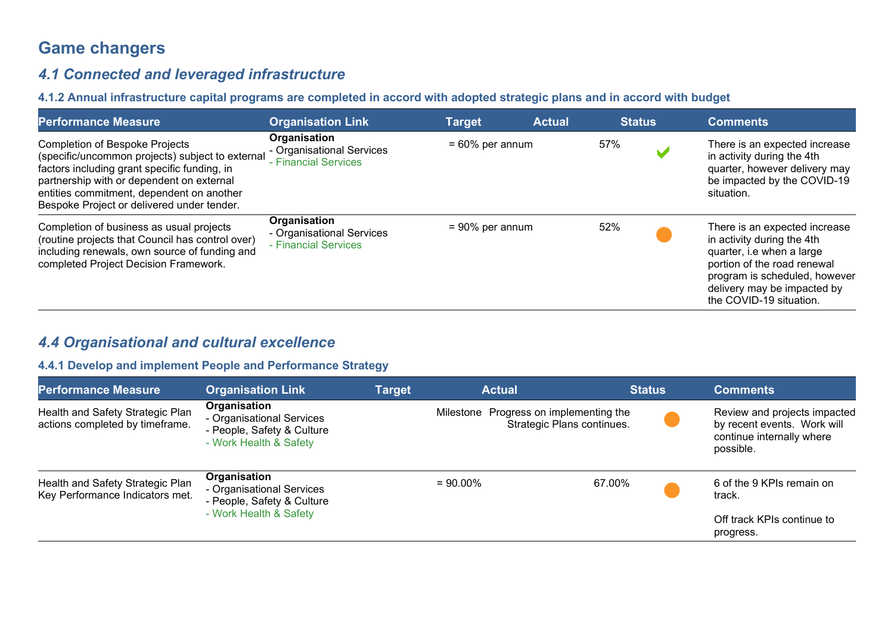# **Game changers**

## *4.1 Connected and leveraged infrastructure*

#### **4.1.2 Annual infrastructure capital programs are completed in accord with adopted strategic plans and in accord with budget**

| <b>Performance Measure</b>                                                                                                                                                                                                                                                        | <b>Organisation Link</b>                                          | <b>Target</b>      | <b>Actual</b> | <b>Status</b> | <b>Comments</b>                                                                                                                                                                                                    |
|-----------------------------------------------------------------------------------------------------------------------------------------------------------------------------------------------------------------------------------------------------------------------------------|-------------------------------------------------------------------|--------------------|---------------|---------------|--------------------------------------------------------------------------------------------------------------------------------------------------------------------------------------------------------------------|
| <b>Completion of Bespoke Projects</b><br>(specific/uncommon projects) subject to external<br>factors including grant specific funding, in<br>partnership with or dependent on external<br>entities commitment, dependent on another<br>Bespoke Project or delivered under tender. | Organisation<br>- Organisational Services<br>- Financial Services | $= 60\%$ per annum |               | 57%           | There is an expected increase<br>in activity during the 4th<br>quarter, however delivery may<br>be impacted by the COVID-19<br>situation.                                                                          |
| Completion of business as usual projects<br>(routine projects that Council has control over)<br>including renewals, own source of funding and<br>completed Project Decision Framework.                                                                                            | Organisation<br>- Organisational Services<br>- Financial Services | $= 90\%$ per annum |               | 52%           | There is an expected increase<br>in activity during the 4th<br>quarter, i.e when a large<br>portion of the road renewal<br>program is scheduled, however<br>delivery may be impacted by<br>the COVID-19 situation. |

## *4.4 Organisational and cultural excellence*

#### **4.4.1 Develop and implement People and Performance Strategy**

| <b>Performance Measure</b>                                          | <b>Organisation Link</b>                                                                          | <b>Target</b> | <b>Actual</b>                          | <b>Status</b>              | <b>Comments</b>                                                                                       |
|---------------------------------------------------------------------|---------------------------------------------------------------------------------------------------|---------------|----------------------------------------|----------------------------|-------------------------------------------------------------------------------------------------------|
| Health and Safety Strategic Plan<br>actions completed by timeframe. | Organisation<br>- Organisational Services<br>- People, Safety & Culture<br>- Work Health & Safety |               | Milestone Progress on implementing the | Strategic Plans continues. | Review and projects impacted<br>by recent events. Work will<br>continue internally where<br>possible. |
| Health and Safety Strategic Plan<br>Key Performance Indicators met. | Organisation<br>- Organisational Services<br>- People, Safety & Culture<br>- Work Health & Safety |               | $= 90.00\%$                            | 67.00%                     | 6 of the 9 KPIs remain on<br>track.<br>Off track KPIs continue to<br>progress.                        |